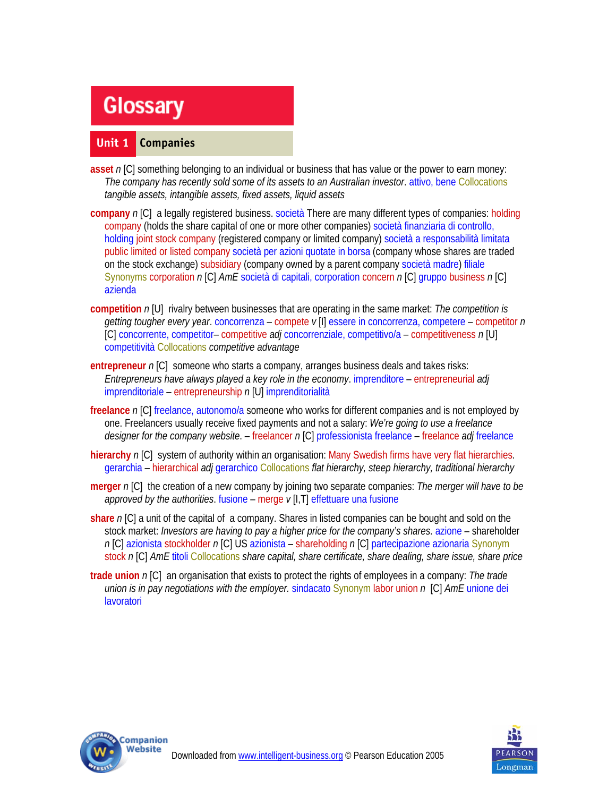# **Glossary**

#### **Unit 1 Companies**

- **asset** *n* [C] something belonging to an individual or business that has value or the power to earn money: *The company has recently sold some of its assets to an Australian investor*. attivo, bene Collocations *tangible assets, intangible assets, fixed assets, liquid assets*
- **company** *n* [C] a legally registered business. società There are many different types of companies: holding company (holds the share capital of one or more other companies) società finanziaria di controllo, holding joint stock company (registered company or limited company) società a responsabilità limitata public limited or listed company società per azioni quotate in borsa (company whose shares are traded on the stock exchange) subsidiary (company owned by a parent company società madre) filiale Synonyms corporation *n* [C] *AmE* società di capitali, corporation concern *n* [C] gruppo business *n* [C] azienda
- **competition** *n* [U] rivalry between businesses that are operating in the same market: *The competition is getting tougher every year*. concorrenza – compete *v* [I] essere in concorrenza, competere – competitor *n*  [C] concorrente, competitor– competitive *adj* concorrenziale, competitivo/a – competitiveness *n* [U] competitività Collocations *competitive advantage*
- **entrepreneur** *n* [C] someone who starts a company, arranges business deals and takes risks: *Entrepreneurs have always played a key role in the economy*. imprenditore – entrepreneurial *adj*  imprenditoriale – entrepreneurship *n* [U] imprenditorialità
- **freelance** n [C] freelance, autonomo/a someone who works for different companies and is not employed by one. Freelancers usually receive fixed payments and not a salary: *We're going to use a freelance designer for the company website*. – freelancer *n* [C] professionista freelance – freelance *adj* freelance
- **hierarchy** *n* [C] system of authority within an organisation: Many Swedish firms have very flat hierarchies. gerarchia – hierarchical *adj* gerarchico Collocations *flat hierarchy, steep hierarchy, traditional hierarchy*
- **merger** *n* [C] the creation of a new company by joining two separate companies: *The merger will have to be approved by the authorities*. fusione – merge *v* [I,T] effettuare una fusione
- **share** *n* [C] a unit of the capital of a company. Shares in listed companies can be bought and sold on the stock market: *Investors are having to pay a higher price for the company's shares*. azione – shareholder *n* [C] azionista stockholder *n* [C] US azionista – shareholding *n* [C] partecipazione azionaria Synonym stock *n* [C] *AmE* titoli Collocations *share capital, share certificate, share dealing, share issue, share price*
- **trade union** *n* [C] an organisation that exists to protect the rights of employees in a company: *The trade union is in pay negotiations with the employer.* sindacato Synonym labor union *n* [C] *AmE* unione dei lavoratori



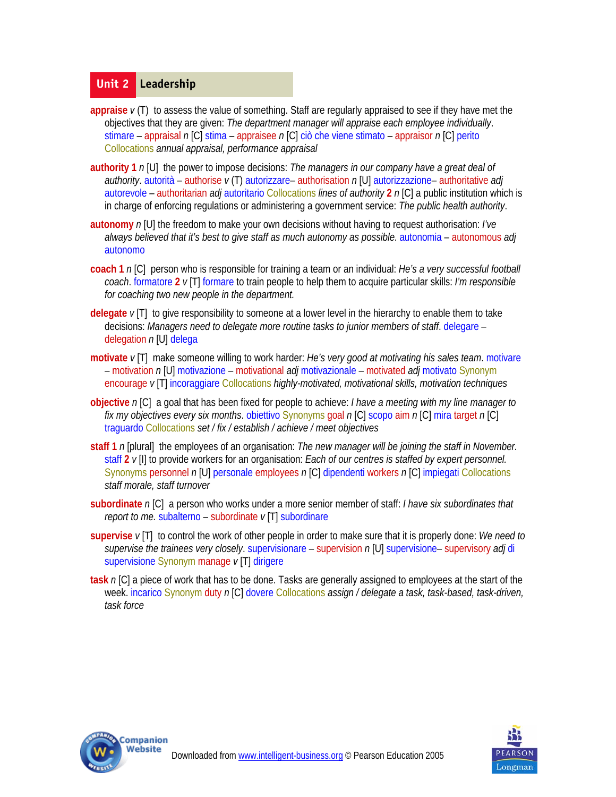#### **Unit 2 Leadership**

- **appraise** *v* (T) to assess the value of something. Staff are regularly appraised to see if they have met the objectives that they are given: *The department manager will appraise each employee individually*. stimare – appraisal *n* [C] stima – appraisee *n* [C] ciò che viene stimato – appraisor *n* [C] perito Collocations *annual appraisal, performance appraisal*
- **authority 1** *n* [U] the power to impose decisions: *The managers in our company have a great deal of authority*. autorità – authorise *v* (T) autorizzare– authorisation *n* [U] autorizzazione– authoritative *adj*  autorevole – authoritarian *adj* autoritario Collocations *lines of authority* **2** *n* [C] a public institution which is in charge of enforcing regulations or administering a government service: *The public health authority*.
- **autonomy** *n* [U] the freedom to make your own decisions without having to request authorisation: *I've always believed that it's best to give staff as much autonomy as possible*. autonomia – autonomous *adj*  autonomo
- **coach 1** *n* [C] person who is responsible for training a team or an individual: *He's a very successful football coach*. formatore **2** *v* [T] formare to train people to help them to acquire particular skills: *I'm responsible for coaching two new people in the department.*
- **delegate** *v* [T] to give responsibility to someone at a lower level in the hierarchy to enable them to take decisions: *Managers need to delegate more routine tasks to junior members of staff*. delegare – delegation *n* [U] delega
- **motivate** *v* [T] make someone willing to work harder: *He's very good at motivating his sales team*. motivare – motivation *n* [U] motivazione – motivational *adj* motivazionale – motivated *adj* motivato Synonym encourage *v* [T] incoraggiare Collocations *highly-motivated, motivational skills, motivation techniques*
- **objective** *n* [C] a goal that has been fixed for people to achieve: *I have a meeting with my line manager to fix my objectives every six months*. obiettivo Synonyms goal *n* [C] scopo aim *n* [C] mira target *n* [C] traguardo Collocations *set / fix / establish / achieve / meet objectives*
- **staff 1** *n* [plural] the employees of an organisation: *The new manager will be joining the staff in November.* staff **2** *v* [I] to provide workers for an organisation: *Each of our centres is staffed by expert personnel.* Synonyms personnel *n* [U] personale employees *n* [C] dipendenti workers *n* [C] impiegati Collocations *staff morale, staff turnover*
- **subordinate** *n* [C] a person who works under a more senior member of staff: *I have six subordinates that report to me.* subalterno – subordinate *v* [T] subordinare
- **supervise** *v* [T] to control the work of other people in order to make sure that it is properly done: *We need to supervise the trainees very closely*. supervisionare – supervision *n* [U] supervisione– supervisory *adj* di supervisione Synonym manage *v* [T] dirigere
- **task** *n* [C] a piece of work that has to be done. Tasks are generally assigned to employees at the start of the week. incarico Synonym duty *n* [C] dovere Collocations *assign / delegate a task, task-based, task-driven, task force*



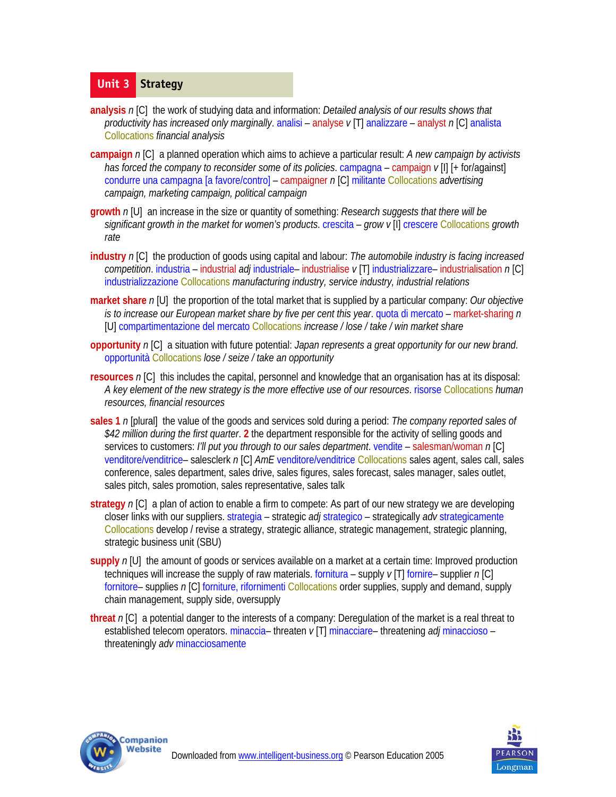# **Unit 3 Strategy**

- **analysis** *n* [C] the work of studying data and information: *Detailed analysis of our results shows that productivity has increased only marginally*. analisi – analyse *v* [T] analizzare – analyst *n* [C] analista Collocations *financial analysis*
- **campaign** *n* [C] a planned operation which aims to achieve a particular result: *A new campaign by activists has forced the company to reconsider some of its policies*. campagna – campaign *v* [I] [+ for/against] condurre una campagna [a favore/contro] – campaigner *n* [C] militante Collocations *advertising campaign, marketing campaign, political campaign*
- **growth** *n* [U] an increase in the size or quantity of something: *Research suggests that there will be significant growth in the market for women's products*. crescita – *grow v* [I] crescere Collocations *growth rate*
- **industry** *n* [C] the production of goods using capital and labour: *The automobile industry is facing increased competition*. industria – industrial *adj* industriale– industrialise *v* [T] industrializzare– industrialisation *n* [C] industrializzazione Collocations *manufacturing industry, service industry, industrial relations*
- **market share** *n* [U] the proportion of the total market that is supplied by a particular company: *Our objective is to increase our European market share by five per cent this year*. quota di mercato – market-sharing *n*  [U] compartimentazione del mercato Collocations *increase / lose / take / win market share*
- **opportunity** *n* [C] a situation with future potential: *Japan represents a great opportunity for our new brand*. opportunità Collocations *lose / seize / take an opportunity*
- **resources** *n* [C] this includes the capital, personnel and knowledge that an organisation has at its disposal: *A key element of the new strategy is the more effective use of our resources*. risorse Collocations *human resources, financial resources*
- **sales 1** *n* [plural] the value of the goods and services sold during a period: *The company reported sales of \$42 million during the first quarter*. **2** the department responsible for the activity of selling goods and services to customers: *I'll put you through to our sales department*. vendite – salesman/woman *n* [C] venditore/venditrice– salesclerk *n* [C] *AmE* venditore/venditrice Collocations sales agent, sales call, sales conference, sales department, sales drive, sales figures, sales forecast, sales manager, sales outlet, sales pitch, sales promotion, sales representative, sales talk
- **strategy** *n* [C] a plan of action to enable a firm to compete: As part of our new strategy we are developing closer links with our suppliers. strategia – strategic *adj* strategico – strategically *adv* strategicamente Collocations develop / revise a strategy, strategic alliance, strategic management, strategic planning, strategic business unit (SBU)
- **supply** *n* [U] the amount of goods or services available on a market at a certain time: Improved production techniques will increase the supply of raw materials. fornitura – supply *v* [T] fornire– supplier *n* [C] fornitore– supplies *n* [C] forniture, rifornimenti Collocations order supplies, supply and demand, supply chain management, supply side, oversupply
- **threat** *n* [C] a potential danger to the interests of a company: Deregulation of the market is a real threat to established telecom operators. minaccia– threaten *v* [T] minacciare– threatening *adj* minaccioso – threateningly *adv* minacciosamente



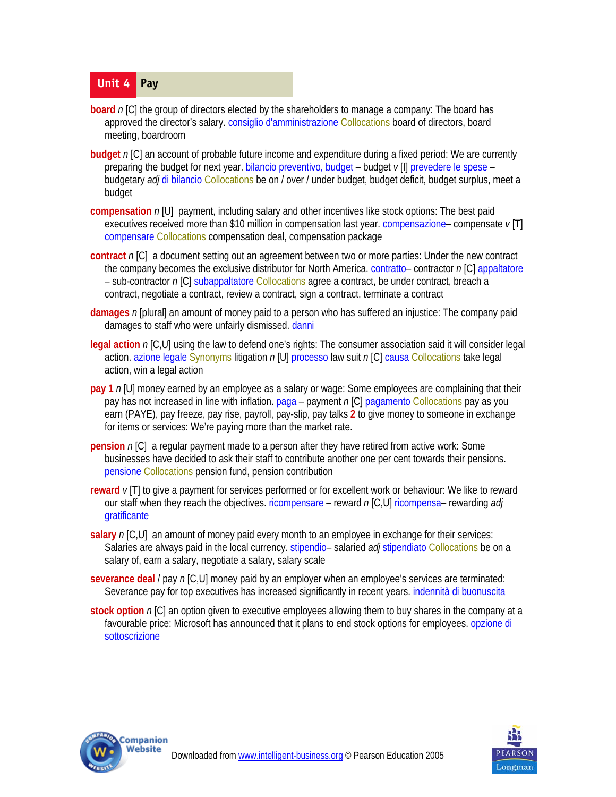# **Unit 4 Pay**

- **board** n [C] the group of directors elected by the shareholders to manage a company: The board has approved the director's salary. consiglio d'amministrazione Collocations board of directors, board meeting, boardroom
- **budget** *n* [C] an account of probable future income and expenditure during a fixed period: We are currently preparing the budget for next year. bilancio preventivo, budget – budget *v* [I] prevedere le spese – budgetary *adj* di bilancio Collocations be on / over / under budget, budget deficit, budget surplus, meet a budget
- **compensation** *n* [U] payment, including salary and other incentives like stock options: The best paid executives received more than \$10 million in compensation last year. compensazione– compensate *v* [T] compensare Collocations compensation deal, compensation package
- **contract** *n* [C] a document setting out an agreement between two or more parties: Under the new contract the company becomes the exclusive distributor for North America. contratto– contractor *n* [C] appaltatore – sub-contractor *n* [C] subappaltatore Collocations agree a contract, be under contract, breach a contract, negotiate a contract, review a contract, sign a contract, terminate a contract
- **damages** *n* [plural] an amount of money paid to a person who has suffered an injustice: The company paid damages to staff who were unfairly dismissed. danni
- **legal action** *n* [C,U] using the law to defend one's rights: The consumer association said it will consider legal action. azione legale Synonyms litigation *n* [U] processo law suit *n* [C] causa Collocations take legal action, win a legal action
- **pay 1** *n* [U] money earned by an employee as a salary or wage: Some employees are complaining that their pay has not increased in line with inflation. paga – payment *n* [C] pagamento Collocations pay as you earn (PAYE), pay freeze, pay rise, payroll, pay-slip, pay talks **2** to give money to someone in exchange for items or services: We're paying more than the market rate.
- **pension** n [C] a regular payment made to a person after they have retired from active work: Some businesses have decided to ask their staff to contribute another one per cent towards their pensions. pensione Collocations pension fund, pension contribution
- **reward** *v* [T] to give a payment for services performed or for excellent work or behaviour: We like to reward our staff when they reach the objectives. ricompensare – reward *n* [C,U] ricompensa– rewarding *adj*  gratificante
- **salary** *n* [C,U] an amount of money paid every month to an employee in exchange for their services: Salaries are always paid in the local currency. stipendio– salaried *adj* stipendiato Collocations be on a salary of, earn a salary, negotiate a salary, salary scale
- **severance deal** / pay *n* [C,U] money paid by an employer when an employee's services are terminated: Severance pay for top executives has increased significantly in recent years. indennità di buonuscita
- **stock option** *n* [C] an option given to executive employees allowing them to buy shares in the company at a favourable price: Microsoft has announced that it plans to end stock options for employees. opzione di sottoscrizione



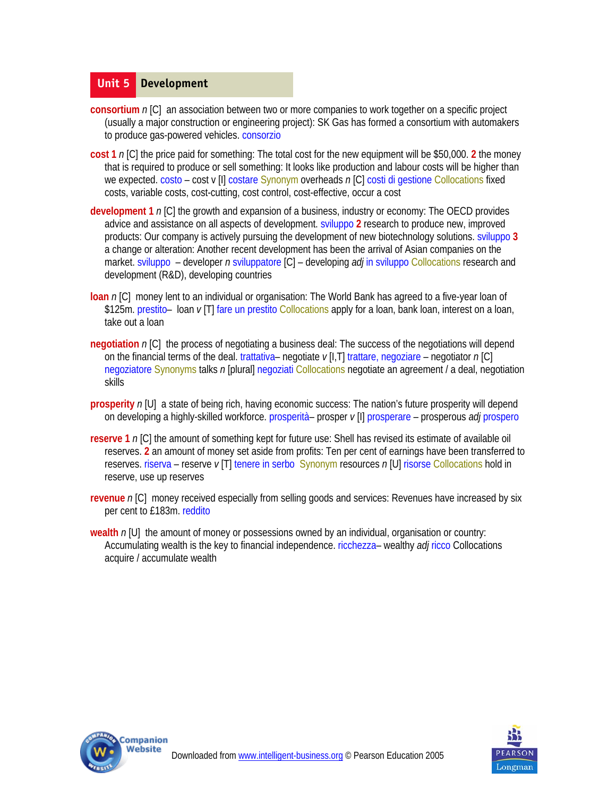#### **Unit 5 Development**

- **consortium** *n* [C] an association between two or more companies to work together on a specific project (usually a major construction or engineering project): SK Gas has formed a consortium with automakers to produce gas-powered vehicles. consorzio
- **cost 1** *n* [C] the price paid for something: The total cost for the new equipment will be \$50,000. **2** the money that is required to produce or sell something: It looks like production and labour costs will be higher than we expected. costo – cost v [I] costare Synonym overheads *n* [C] costi di gestione Collocations fixed costs, variable costs, cost-cutting, cost control, cost-effective, occur a cost
- **development 1** *n* [C] the growth and expansion of a business, industry or economy: The OECD provides advice and assistance on all aspects of development. sviluppo **2** research to produce new, improved products: Our company is actively pursuing the development of new biotechnology solutions. sviluppo **3**  a change or alteration: Another recent development has been the arrival of Asian companies on the market. sviluppo – developer *n* sviluppatore [C] – developing *adj* in sviluppo Collocations research and development (R&D), developing countries
- **loan** n [C] money lent to an individual or organisation: The World Bank has agreed to a five-year loan of \$125m. prestito– loan *v* [T] fare un prestito Collocations apply for a loan, bank loan, interest on a loan, take out a loan
- **negotiation** n [C] the process of negotiating a business deal: The success of the negotiations will depend on the financial terms of the deal. trattativa– negotiate *v* [I,T] trattare, negoziare – negotiator *n* [C] negoziatore Synonyms talks *n* [plural] negoziati Collocations negotiate an agreement / a deal, negotiation skills
- **prosperity**  $n[U]$  a state of being rich, having economic success: The nation's future prosperity will depend on developing a highly-skilled workforce. prosperità– prosper *v* [I] prosperare – prosperous *adj* prospero
- **reserve 1** *n* [C] the amount of something kept for future use: Shell has revised its estimate of available oil reserves. **2** an amount of money set aside from profits: Ten per cent of earnings have been transferred to reserves. riserva – reserve *v* [T] tenere in serbo Synonym resources *n* [U] risorse Collocations hold in reserve, use up reserves
- **revenue** *n* [C] money received especially from selling goods and services: Revenues have increased by six per cent to £183m. reddito
- **wealth** *n* [U] the amount of money or possessions owned by an individual, organisation or country: Accumulating wealth is the key to financial independence. ricchezza– wealthy *adj* ricco Collocations acquire / accumulate wealth



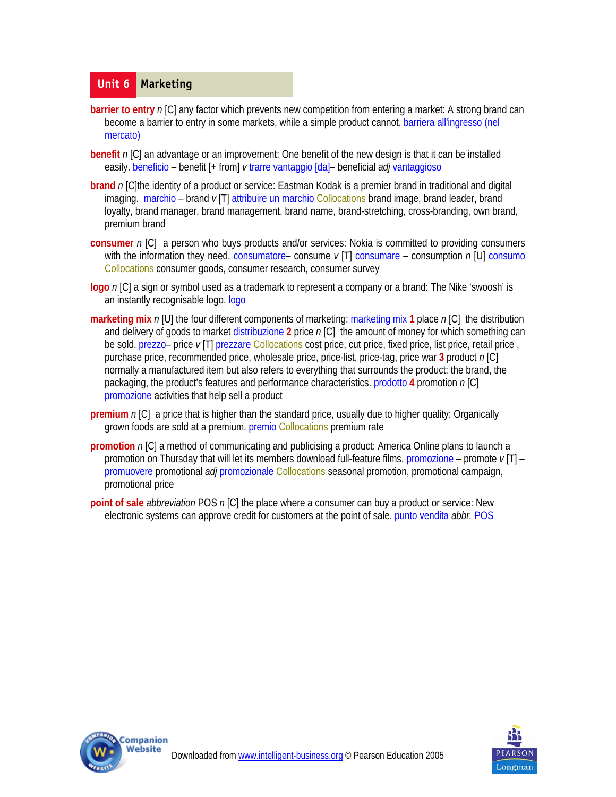#### **Unit 6 Marketing**

- **barrier to entry** n [C] any factor which prevents new competition from entering a market: A strong brand can become a barrier to entry in some markets, while a simple product cannot. barriera all'ingresso (nel mercato)
- **benefit** *n* [C] an advantage or an improvement: One benefit of the new design is that it can be installed easily. beneficio – benefit [+ from] *v* trarre vantaggio [da]– beneficial *adj* vantaggioso
- **brand** *n* [C]the identity of a product or service: Eastman Kodak is a premier brand in traditional and digital imaging. marchio – brand *v* [T] attribuire un marchio Collocations brand image, brand leader, brand loyalty, brand manager, brand management, brand name, brand-stretching, cross-branding, own brand, premium brand
- **consumer** *n* [C] a person who buys products and/or services: Nokia is committed to providing consumers with the information they need. consumatore– consume *v* [T] consumare – consumption *n* [U] consumo Collocations consumer goods, consumer research, consumer survey
- **logo** *n* [C] a sign or symbol used as a trademark to represent a company or a brand: The Nike 'swoosh' is an instantly recognisable logo. logo
- **marketing mix** *n* [U] the four different components of marketing: marketing mix **1** place *n* [C] the distribution and delivery of goods to market distribuzione **2** price *n* [C] the amount of money for which something can be sold. prezzo– price *v* [T] prezzare Collocations cost price, cut price, fixed price, list price, retail price , purchase price, recommended price, wholesale price, price-list, price-tag, price war **3** product *n* [C] normally a manufactured item but also refers to everything that surrounds the product: the brand, the packaging, the product's features and performance characteristics. prodotto **4** promotion *n* [C] promozione activities that help sell a product
- **premium** *n* [C] a price that is higher than the standard price, usually due to higher quality: Organically grown foods are sold at a premium. premio Collocations premium rate
- **promotion** *n* [C] a method of communicating and publicising a product: America Online plans to launch a promotion on Thursday that will let its members download full-feature films. promozione – promote *v* [T] – promuovere promotional *adj* promozionale Collocations seasonal promotion, promotional campaign, promotional price
- **point of sale** *abbreviation* POS *n* [C] the place where a consumer can buy a product or service: New electronic systems can approve credit for customers at the point of sale. punto vendita *abbr.* POS



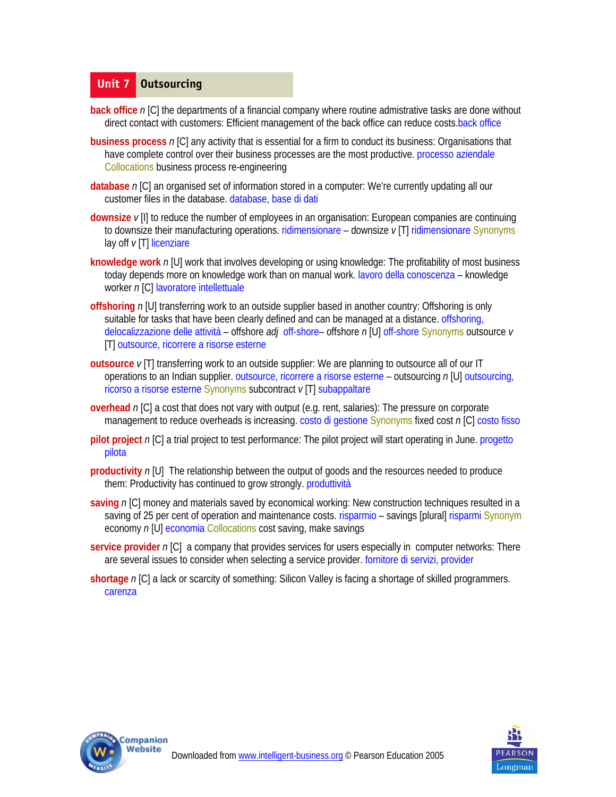#### **Unit 7 Outsourcing**

- **back office** n [C] the departments of a financial company where routine admistrative tasks are done without direct contact with customers: Efficient management of the back office can reduce costs.back office
- **business process** *n* [C] any activity that is essential for a firm to conduct its business: Organisations that have complete control over their business processes are the most productive. processo aziendale Collocations business process re-engineering
- **database** *n* [C] an organised set of information stored in a computer: We're currently updating all our customer files in the database. database, base di dati
- **downsize** *v* [I] to reduce the number of employees in an organisation: European companies are continuing to downsize their manufacturing operations. ridimensionare – downsize *v* [T] ridimensionare Synonyms lay off *v* [T] licenziare
- **knowledge work** *n* [U] work that involves developing or using knowledge: The profitability of most business today depends more on knowledge work than on manual work. lavoro della conoscenza – knowledge worker *n* [C] lavoratore intellettuale
- **offshoring** *n* [U] transferring work to an outside supplier based in another country: Offshoring is only suitable for tasks that have been clearly defined and can be managed at a distance. offshoring, delocalizzazione delle attività – offshore *adj* off-shore– offshore *n* [U] off-shore Synonyms outsource *v*  [T] outsource, ricorrere a risorse esterne
- **outsource** *v* [T] transferring work to an outside supplier: We are planning to outsource all of our IT operations to an Indian supplier. outsource, ricorrere a risorse esterne – outsourcing *n* [U] outsourcing, ricorso a risorse esterne Synonyms subcontract *v* [T] subappaltare
- **overhead** n [C] a cost that does not vary with output (e.g. rent, salaries): The pressure on corporate management to reduce overheads is increasing. costo di gestione Synonyms fixed cost *n* [C] costo fisso
- **pilot project** *n* [C] a trial project to test performance: The pilot project will start operating in June. progetto pilota
- **productivity** *n* [U] The relationship between the output of goods and the resources needed to produce them: Productivity has continued to grow strongly. produttività
- **saving** n [C] money and materials saved by economical working: New construction techniques resulted in a saving of 25 per cent of operation and maintenance costs. risparmio – savings [plural] risparmi Synonym economy *n* [U] economia Collocations cost saving, make savings
- **service provider** n [C] a company that provides services for users especially in computer networks: There are several issues to consider when selecting a service provider. fornitore di servizi, provider
- **shortage** *n* [C] a lack or scarcity of something: Silicon Valley is facing a shortage of skilled programmers. carenza



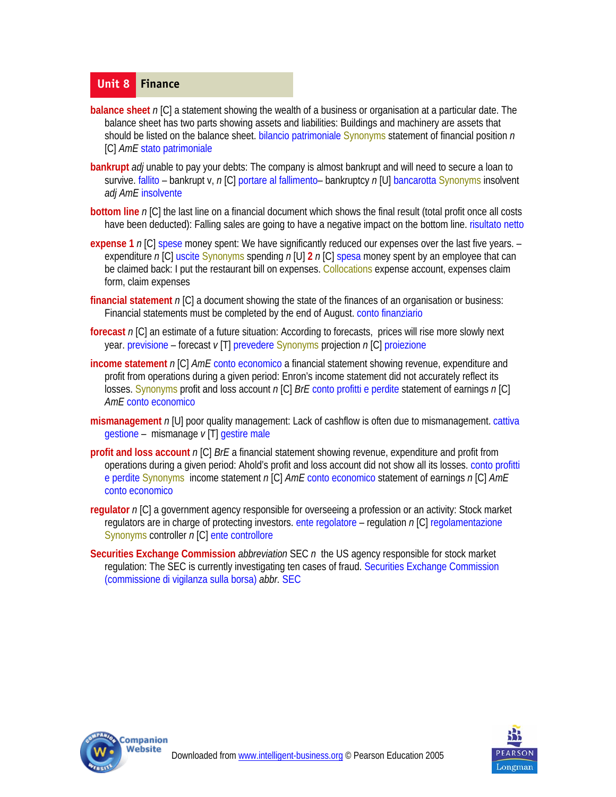#### **Unit 8 Finance**

- **balance sheet** n [C] a statement showing the wealth of a business or organisation at a particular date. The balance sheet has two parts showing assets and liabilities: Buildings and machinery are assets that should be listed on the balance sheet. bilancio patrimoniale Synonyms statement of financial position *n*  [C] *AmE* stato patrimoniale
- **bankrupt** *adj* unable to pay your debts: The company is almost bankrupt and will need to secure a loan to survive. fallito – bankrupt v, *n* [C] portare al fallimento– bankruptcy *n* [U] bancarotta Synonyms insolvent *adj AmE* insolvente
- **bottom line** *n* [C] the last line on a financial document which shows the final result (total profit once all costs have been deducted): Falling sales are going to have a negative impact on the bottom line. risultato netto
- **expense 1** *n* [C] spese money spent: We have significantly reduced our expenses over the last five years. expenditure *n* [C] uscite Synonyms spending *n* [U] **2** *n* [C] spesa money spent by an employee that can be claimed back: I put the restaurant bill on expenses. Collocations expense account, expenses claim form, claim expenses
- **financial statement** *n* [C] a document showing the state of the finances of an organisation or business: Financial statements must be completed by the end of August. conto finanziario
- **forecast** *n* [C] an estimate of a future situation: According to forecasts, prices will rise more slowly next year. previsione – forecast *v* [T] prevedere Synonyms projection *n* [C] proiezione
- **income statement** *n* [C] *AmE* conto economico a financial statement showing revenue, expenditure and profit from operations during a given period: Enron's income statement did not accurately reflect its losses. Synonyms profit and loss account *n* [C] *BrE* conto profitti e perdite statement of earnings *n* [C] *AmE* conto economico
- **mismanagement** *n* [U] poor quality management: Lack of cashflow is often due to mismanagement. cattiva gestione – mismanage *v* [T] gestire male
- **profit and loss account** *n* [C] *BrE* a financial statement showing revenue, expenditure and profit from operations during a given period: Ahold's profit and loss account did not show all its losses. conto profitti e perdite Synonyms income statement *n* [C] *AmE* conto economico statement of earnings *n* [C] *AmE*  conto economico
- **regulator** *n* [C] a government agency responsible for overseeing a profession or an activity: Stock market regulators are in charge of protecting investors. ente regolatore – regulation *n* [C] regolamentazione Synonyms controller *n* [C] ente controllore
- **Securities Exchange Commission** *abbreviation* SEC *n* the US agency responsible for stock market regulation: The SEC is currently investigating ten cases of fraud. Securities Exchange Commission (commissione di vigilanza sulla borsa) *abbr.* SEC



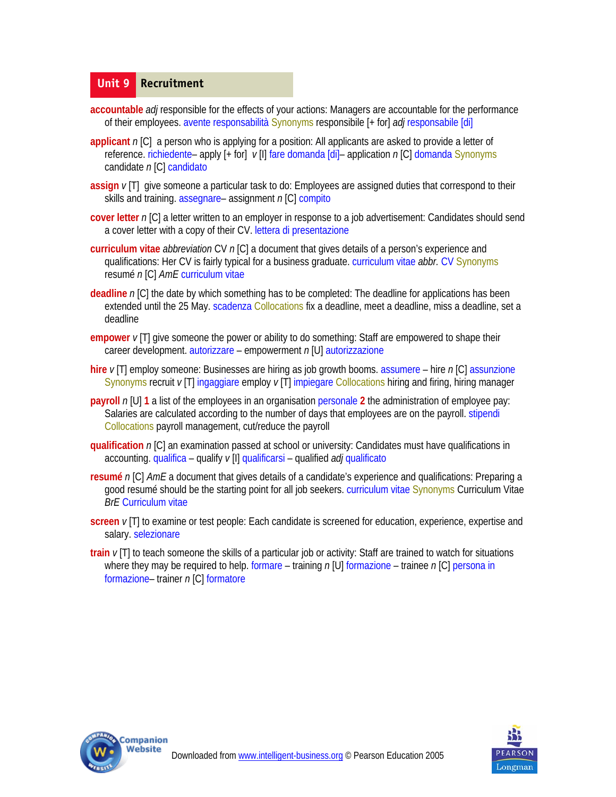#### **Unit 9 Recruitment**

- **accountable** *adj* responsible for the effects of your actions: Managers are accountable for the performance of their employees. avente responsabilità Synonyms responsibile [+ for] *adj* responsabile [di]
- **applicant** *n* [C] a person who is applying for a position: All applicants are asked to provide a letter of reference. richiedente– apply [+ for] *v* [I] fare domanda [di]– application *n* [C] domanda Synonyms candidate *n* [C] candidato
- **assign**  $v$ [T] give someone a particular task to do: Employees are assigned duties that correspond to their skills and training. assegnare– assignment *n* [C] compito
- **cover letter** *n* [C] a letter written to an employer in response to a job advertisement: Candidates should send a cover letter with a copy of their CV. lettera di presentazione
- **curriculum vitae** *abbreviation* CV *n* [C] a document that gives details of a person's experience and qualifications: Her CV is fairly typical for a business graduate. curriculum vitae *abbr.* CV Synonyms resumé *n* [C] *AmE* curriculum vitae
- **deadline** *n* [C] the date by which something has to be completed: The deadline for applications has been extended until the 25 May. scadenza Collocations fix a deadline, meet a deadline, miss a deadline, set a deadline
- **empower** *v* [T] give someone the power or ability to do something: Staff are empowered to shape their career development. autorizzare – empowerment *n* [U] autorizzazione
- **hire** *v* [T] employ someone: Businesses are hiring as job growth booms. assumere hire *n* [C] assunzione Synonyms recruit *v* [T] ingaggiare employ *v* [T] impiegare Collocations hiring and firing, hiring manager
- **payroll**  $n[U]$  1 a list of the employees in an organisation personale 2 the administration of employee pay: Salaries are calculated according to the number of days that employees are on the payroll. stipendi Collocations payroll management, cut/reduce the payroll
- **qualification** *n* [C] an examination passed at school or university: Candidates must have qualifications in accounting. qualifica – qualify *v* [I] qualificarsi – qualified *adj* qualificato
- **resumé** *n* [C] *AmE* a document that gives details of a candidate's experience and qualifications: Preparing a good resumé should be the starting point for all job seekers. curriculum vitae Synonyms Curriculum Vitae *BrE* Curriculum vitae
- **screen** *v* [T] to examine or test people: Each candidate is screened for education, experience, expertise and salary. selezionare
- **train** *v* [T] to teach someone the skills of a particular job or activity: Staff are trained to watch for situations where they may be required to help. formare – training *n* [U] formazione – trainee *n* [C] persona in formazione– trainer *n* [C] formatore



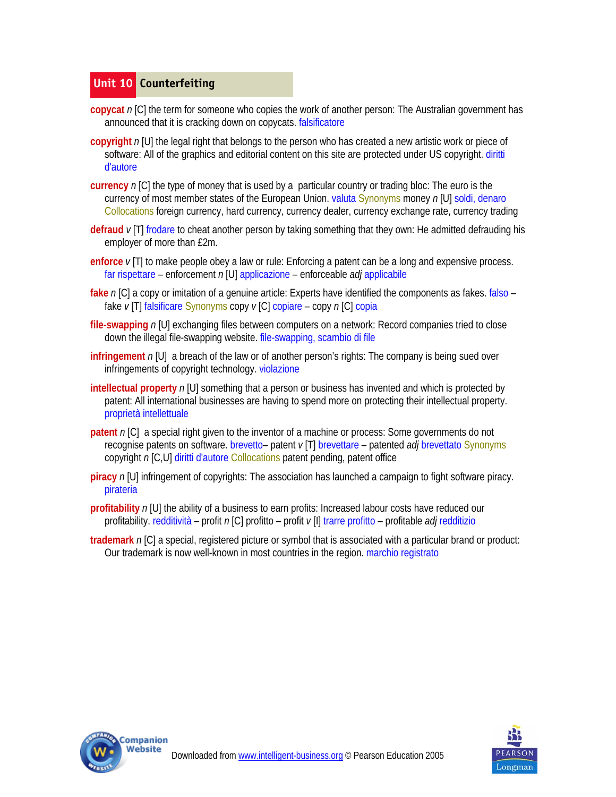## **Unit 10 Counterfeiting**

- **copycat** n [C] the term for someone who copies the work of another person: The Australian government has announced that it is cracking down on copycats. falsificatore
- **copyright** *n* [U] the legal right that belongs to the person who has created a new artistic work or piece of software: All of the graphics and editorial content on this site are protected under US copyright. diritti d'autore
- **currency** *n* [C] the type of money that is used by a particular country or trading bloc: The euro is the currency of most member states of the European Union. valuta Synonyms money *n* [U] soldi, denaro Collocations foreign currency, hard currency, currency dealer, currency exchange rate, currency trading
- **defraud** *v* [T] frodare to cheat another person by taking something that they own: He admitted defrauding his employer of more than £2m.
- **enforce** *v* [T| to make people obey a law or rule: Enforcing a patent can be a long and expensive process. far rispettare – enforcement *n* [U] applicazione – enforceable *adj* applicabile
- **fake** *n* [C] a copy or imitation of a genuine article: Experts have identified the components as fakes. falso fake *v* [T] falsificare Synonyms copy *v* [C] copiare – copy *n* [C] copia
- **file-swapping** *n* [U] exchanging files between computers on a network: Record companies tried to close down the illegal file-swapping website. file-swapping, scambio di file
- **infringement** *n* [U] a breach of the law or of another person's rights: The company is being sued over infringements of copyright technology. violazione
- **intellectual property** *n* [U] something that a person or business has invented and which is protected by patent: All international businesses are having to spend more on protecting their intellectual property. proprietà intellettuale
- **patent** n [C] a special right given to the inventor of a machine or process: Some governments do not recognise patents on software. brevetto– patent *v* [T] brevettare – patented *adj* brevettato Synonyms copyright *n* [C,U] diritti d'autore Collocations patent pending, patent office
- **piracy** *n* [U] infringement of copyrights: The association has launched a campaign to fight software piracy. pirateria
- **profitability** *n* [U] the ability of a business to earn profits: Increased labour costs have reduced our profitability. redditività – profit *n* [C] profitto – profit *v* [I] trarre profitto – profitable *adj* redditizio
- **trademark** *n* [C] a special, registered picture or symbol that is associated with a particular brand or product: Our trademark is now well-known in most countries in the region. marchio registrato



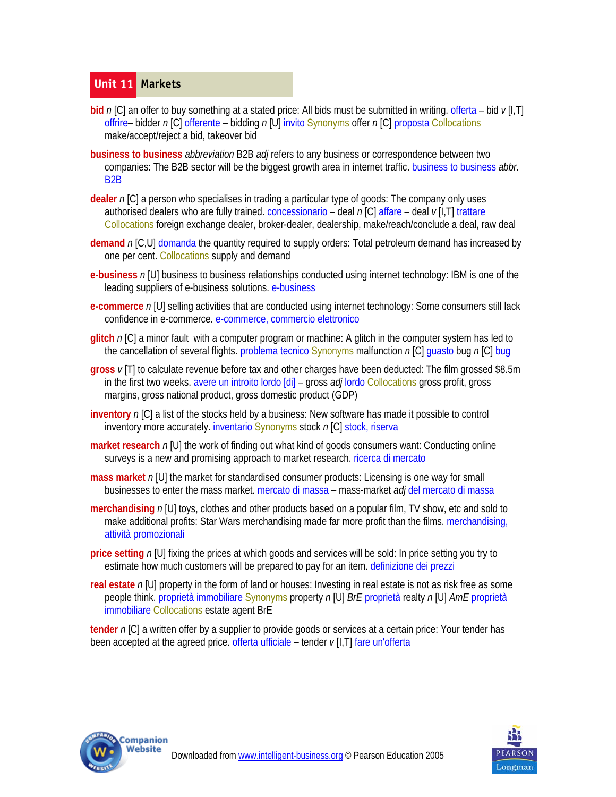# **Unit 11 Markets**

- **bid** n [C] an offer to buy something at a stated price: All bids must be submitted in writing. offerta bid v [I,T] offrire– bidder *n* [C] offerente – bidding *n* [U] invito Synonyms offer *n* [C] proposta Collocations make/accept/reject a bid, takeover bid
- **business to business** *abbreviation* B2B *adj* refers to any business or correspondence between two companies: The B2B sector will be the biggest growth area in internet traffic. business to business *abbr.*  B2B
- **dealer** *n* [C] a person who specialises in trading a particular type of goods: The company only uses authorised dealers who are fully trained. concessionario – deal *n* [C] affare – deal *v* [I,T] trattare Collocations foreign exchange dealer, broker-dealer, dealership, make/reach/conclude a deal, raw deal
- demand *n* [C, U] domanda the quantity required to supply orders: Total petroleum demand has increased by one per cent. Collocations supply and demand
- **e-business** *n* [U] business to business relationships conducted using internet technology: IBM is one of the leading suppliers of e-business solutions. e-business
- **e-commerce** *n* [U] selling activities that are conducted using internet technology: Some consumers still lack confidence in e-commerce. e-commerce, commercio elettronico
- **glitch** *n* [C] a minor fault with a computer program or machine: A glitch in the computer system has led to the cancellation of several flights. problema tecnico Synonyms malfunction *n* [C] guasto bug *n* [C] bug
- **gross** *v* [T] to calculate revenue before tax and other charges have been deducted: The film grossed \$8.5m in the first two weeks. avere un introito lordo [di] – gross *adj* lordo Collocations gross profit, gross margins, gross national product, gross domestic product (GDP)
- **inventory** *n* [C] a list of the stocks held by a business: New software has made it possible to control inventory more accurately. inventario Synonyms stock *n* [C] stock, riserva
- **market research** n [U] the work of finding out what kind of goods consumers want: Conducting online surveys is a new and promising approach to market research. *ricerca di mercato*
- **mass market** n [U] the market for standardised consumer products: Licensing is one way for small businesses to enter the mass market. mercato di massa – mass-market *adj* del mercato di massa
- **merchandising** *n* [U] toys, clothes and other products based on a popular film, TV show, etc and sold to make additional profits: Star Wars merchandising made far more profit than the films. merchandising, attività promozionali
- **price setting** *n* [U] fixing the prices at which goods and services will be sold: In price setting you try to estimate how much customers will be prepared to pay for an item. definizione dei prezzi
- **real estate** *n* [U] property in the form of land or houses: Investing in real estate is not as risk free as some people think. proprietà immobiliare Synonyms property *n* [U] *BrE* proprietà realty *n* [U] *AmE* proprietà immobiliare Collocations estate agent BrE

**tender** *n* [C] a written offer by a supplier to provide goods or services at a certain price: Your tender has been accepted at the agreed price. offerta ufficiale – tender *v* [I,T] fare un'offerta



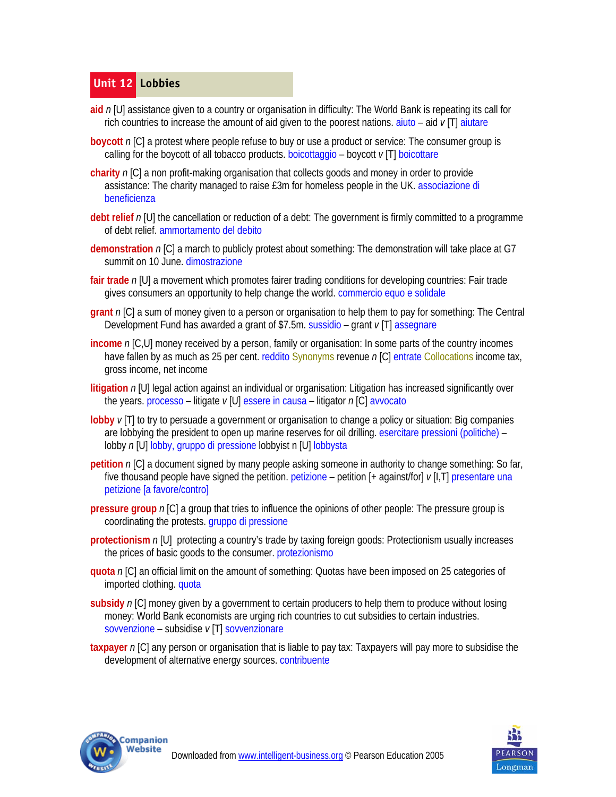# **Unit 12 Lobbies**

- **aid** *n* [U] assistance given to a country or organisation in difficulty: The World Bank is repeating its call for rich countries to increase the amount of aid given to the poorest nations. aiuto – aid *v* [T] aiutare
- **boycott** *n* [C] a protest where people refuse to buy or use a product or service: The consumer group is calling for the boycott of all tobacco products. boicottaggio – boycott *v* [T] boicottare
- **charity** *n* [C] a non profit-making organisation that collects goods and money in order to provide assistance:The charity managed to raise £3m for homeless people in the UK. associazione di beneficienza
- **debt relief** *n* [U] the cancellation or reduction of a debt: The government is firmly committed to a programme of debt relief. ammortamento del debito
- **demonstration** *n* [C] a march to publicly protest about something: The demonstration will take place at G7 summit on 10 June. dimostrazione
- **fair trade** *n* [U] a movement which promotes fairer trading conditions for developing countries: Fair trade gives consumers an opportunity to help change the world. commercio equo e solidale
- **grant** *n* [C] a sum of money given to a person or organisation to help them to pay for something: The Central Development Fund has awarded a grant of \$7.5m. sussidio – grant *v* [T] assegnare
- **income** *n* [C,U] money received by a person, family or organisation: In some parts of the country incomes have fallen by as much as 25 per cent. reddito Synonyms revenue *n* [C] entrate Collocations income tax, gross income, net income
- **litigation** n [U] legal action against an individual or organisation: Litigation has increased significantly over the years. processo – litigate *v* [U] essere in causa – litigator *n* [C] avvocato
- **lobby** *v* [T] to try to persuade a government or organisation to change a policy or situation: Big companies are lobbying the president to open up marine reserves for oil drilling. esercitare pressioni (politiche) – lobby *n* [U] lobby, gruppo di pressione lobbyist n [U] lobbysta
- **petition** n [C] a document signed by many people asking someone in authority to change something: So far, five thousand people have signed the petition. petizione – petition [+ against/for] *v* [I,T] presentare una petizione [a favore/contro]
- **pressure group**  $n$  [C] a group that tries to influence the opinions of other people: The pressure group is coordinating the protests. gruppo di pressione
- **protectionism** *n* [U] protecting a country's trade by taxing foreign goods: Protectionism usually increases the prices of basic goods to the consumer. protezionismo
- **quota** *n* [C] an official limit on the amount of something: Quotas have been imposed on 25 categories of imported clothing. quota
- **subsidy** *n* [C] money given by a government to certain producers to help them to produce without losing money: World Bank economists are urging rich countries to cut subsidies to certain industries. sovvenzione – subsidise *v* [T] sovvenzionare
- **taxpayer** *n* [C] any person or organisation that is liable to pay tax: Taxpayers will pay more to subsidise the development of alternative energy sources. contribuente



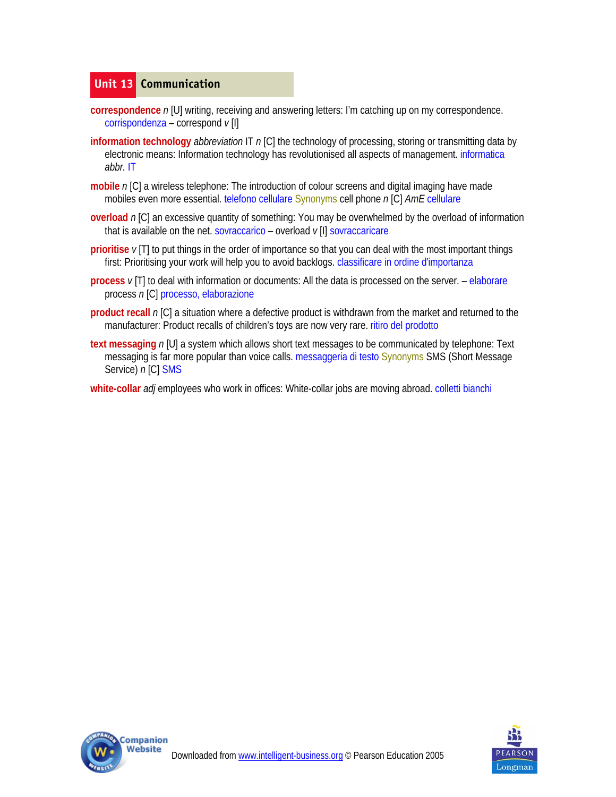#### **Unit 13 Communication**

- **correspondence** *n* [U] writing, receiving and answering letters: I'm catching up on my correspondence. corrispondenza – correspond *v* [I]
- **information technology** *abbreviation* IT n [C] the technology of processing, storing or transmitting data by electronic means: Information technology has revolutionised all aspects of management. informatica *abbr.* IT
- **mobile** *n* [C] a wireless telephone: The introduction of colour screens and digital imaging have made mobiles even more essential. telefono cellulare Synonyms cell phone *n* [C] *AmE* cellulare
- **overload** n [C] an excessive quantity of something: You may be overwhelmed by the overload of information that is available on the net. sovraccarico – overload *v* [I] sovraccaricare
- **prioritise** *v* [T] to put things in the order of importance so that you can deal with the most important things first: Prioritising your work will help you to avoid backlogs, classificare in ordine d'importanza
- **process**  $v$  [T] to deal with information or documents: All the data is processed on the server. elaborare process *n* [C] processo, elaborazione
- **product recall** *n* [C] a situation where a defective product is withdrawn from the market and returned to the manufacturer: Product recalls of children's toys are now very rare. ritiro del prodotto
- **text messaging** *n* [U] a system which allows short text messages to be communicated by telephone: Text messaging is far more popular than voice calls. messaggeria di testo Synonyms SMS (Short Message Service) *n* [C] SMS
- **white-collar** *adj* employees who work in offices:White-collar jobs are moving abroad. colletti bianchi



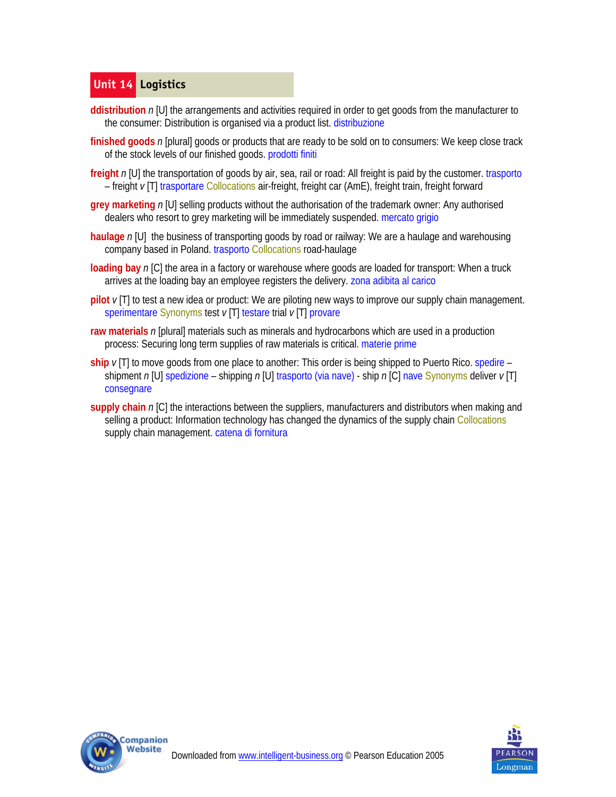# **Unit 14 Logistics**

- **ddistribution** *n* [U] the arrangements and activities required in order to get goods from the manufacturer to the consumer: Distribution is organised via a product list. distribuzione
- finished goods n [plural] goods or products that are ready to be sold on to consumers: We keep close track of the stock levels of our finished goods. prodotti finiti
- **freight** n [U] the transportation of goods by air, sea, rail or road: All freight is paid by the customer. trasporto – freight *v* [T] trasportare Collocations air-freight, freight car (AmE), freight train, freight forward
- **grey marketing** n [U] selling products without the authorisation of the trademark owner: Any authorised dealers who resort to grey marketing will be immediately suspended. mercato grigio
- **haulage** *n* [U] the business of transporting goods by road or railway: We are a haulage and warehousing company based in Poland. trasporto Collocations road-haulage
- **loading bay** n [C] the area in a factory or warehouse where goods are loaded for transport: When a truck arrives at the loading bay an employee registers the delivery. zona adibita al carico
- **pilot**  $\nu$ [T] to test a new idea or product: We are piloting new ways to improve our supply chain management. sperimentare Synonyms test *v* [T] testare trial *v* [T] provare
- **raw materials** n [plural] materials such as minerals and hydrocarbons which are used in a production process: Securing long term supplies of raw materials is critical. materie prime
- **ship**  $\nu$ [T] to move goods from one place to another: This order is being shipped to Puerto Rico. spedire shipment *n* [U] spedizione – shipping *n* [U] trasporto (via nave) - ship *n* [C] nave Synonyms deliver *v* [T] consegnare
- **supply chain** *n* [C] the interactions between the suppliers, manufacturers and distributors when making and selling a product: Information technology has changed the dynamics of the supply chain Collocations supply chain management. catena di fornitura